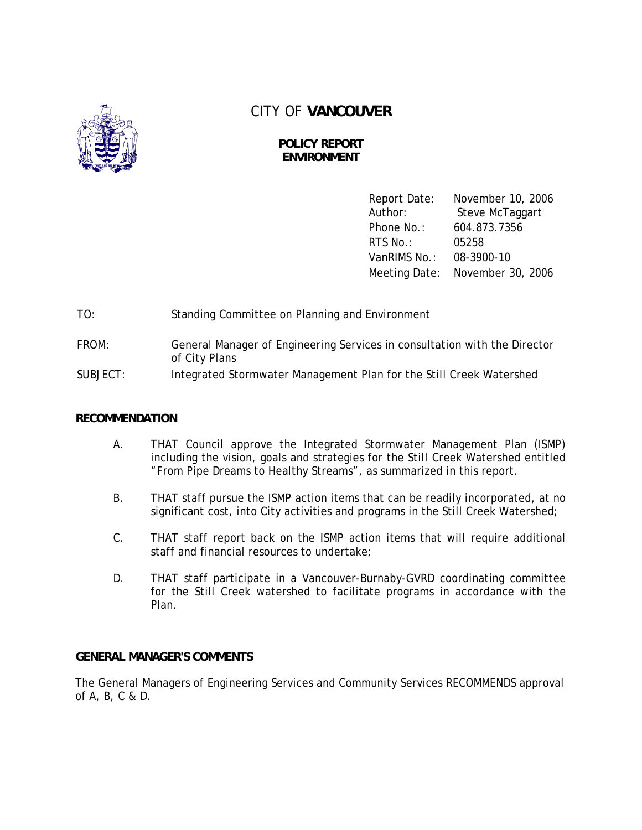

# CITY OF **VANCOUVER**

# **POLICY REPORT ENVIRONMENT**

| Report Date: | November 10, 2006               |
|--------------|---------------------------------|
| Author:      | Steve McTaggart                 |
| Phone No.:   | 604.873.7356                    |
| RTS No.:     | 05258                           |
| VanRIMS No.: | 08-3900-10                      |
|              | Meeting Date: November 30, 2006 |

- TO: Standing Committee on Planning and Environment
- FROM: General Manager of Engineering Services in consultation with the Director of City Plans
- SUBJECT: Integrated Stormwater Management Plan for the Still Creek Watershed

# **RECOMMENDATION**

- A. THAT Council approve the Integrated Stormwater Management Plan (ISMP) including the vision, goals and strategies for the Still Creek Watershed entitled "From Pipe Dreams to Healthy Streams", as summarized in this report.
- B. THAT staff pursue the ISMP action items that can be readily incorporated, at no significant cost, into City activities and programs in the Still Creek Watershed;
- C. THAT staff report back on the ISMP action items that will require additional staff and financial resources to undertake;
- D. THAT staff participate in a Vancouver-Burnaby-GVRD coordinating committee for the Still Creek watershed to facilitate programs in accordance with the Plan.

# **GENERAL MANAGER'S COMMENTS**

The General Managers of Engineering Services and Community Services RECOMMENDS approval of A, B, C & D.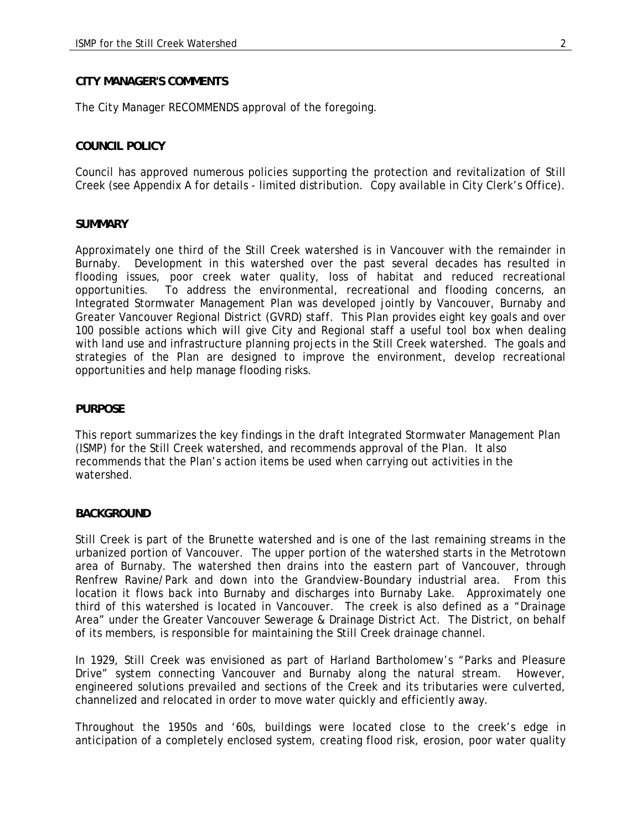## **CITY MANAGER'S COMMENTS**

The City Manager RECOMMENDS approval of the foregoing.

## **COUNCIL POLICY**

Council has approved numerous policies supporting the protection and revitalization of Still Creek (see Appendix A for details - limited distribution. Copy available in City Clerk's Office).

#### **SUMMARY**

Approximately one third of the Still Creek watershed is in Vancouver with the remainder in Burnaby. Development in this watershed over the past several decades has resulted in flooding issues, poor creek water quality, loss of habitat and reduced recreational opportunities. To address the environmental, recreational and flooding concerns, an Integrated Stormwater Management Plan was developed jointly by Vancouver, Burnaby and Greater Vancouver Regional District (GVRD) staff. This Plan provides eight key goals and over 100 possible actions which will give City and Regional staff a useful tool box when dealing with land use and infrastructure planning projects in the Still Creek watershed. The goals and strategies of the Plan are designed to improve the environment, develop recreational opportunities and help manage flooding risks.

#### **PURPOSE**

This report summarizes the key findings in the draft Integrated Stormwater Management Plan (ISMP) for the Still Creek watershed, and recommends approval of the Plan. It also recommends that the Plan's action items be used when carrying out activities in the watershed.

#### **BACKGROUND**

Still Creek is part of the Brunette watershed and is one of the last remaining streams in the urbanized portion of Vancouver. The upper portion of the watershed starts in the Metrotown area of Burnaby. The watershed then drains into the eastern part of Vancouver, through Renfrew Ravine/Park and down into the Grandview-Boundary industrial area. From this location it flows back into Burnaby and discharges into Burnaby Lake. Approximately one third of this watershed is located in Vancouver. The creek is also defined as a "Drainage Area" under the Greater Vancouver Sewerage & Drainage District Act. The District, on behalf of its members, is responsible for maintaining the Still Creek drainage channel.

In 1929, Still Creek was envisioned as part of Harland Bartholomew's "Parks and Pleasure Drive" system connecting Vancouver and Burnaby along the natural stream. However, engineered solutions prevailed and sections of the Creek and its tributaries were culverted, channelized and relocated in order to move water quickly and efficiently away.

Throughout the 1950s and '60s, buildings were located close to the creek's edge in anticipation of a completely enclosed system, creating flood risk, erosion, poor water quality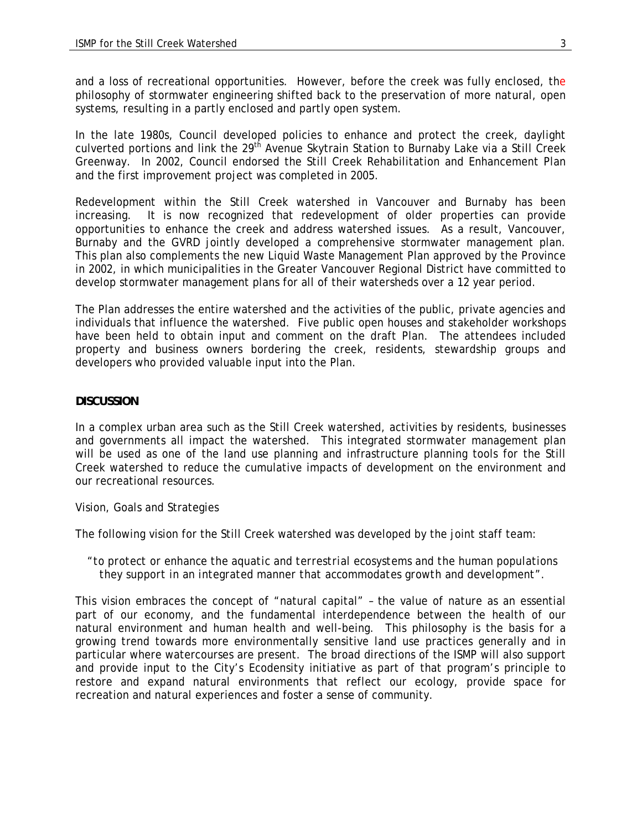and a loss of recreational opportunities. However, before the creek was fully enclosed, the philosophy of stormwater engineering shifted back to the preservation of more natural, open systems, resulting in a partly enclosed and partly open system.

In the late 1980s, Council developed policies to enhance and protect the creek, daylight culverted portions and link the 29<sup>th</sup> Avenue Skytrain Station to Burnaby Lake via a Still Creek Greenway. In 2002, Council endorsed the Still Creek Rehabilitation and Enhancement Plan and the first improvement project was completed in 2005.

Redevelopment within the Still Creek watershed in Vancouver and Burnaby has been increasing. It is now recognized that redevelopment of older properties can provide opportunities to enhance the creek and address watershed issues. As a result, Vancouver, Burnaby and the GVRD jointly developed a comprehensive stormwater management plan. This plan also complements the new Liquid Waste Management Plan approved by the Province in 2002, in which municipalities in the Greater Vancouver Regional District have committed to develop stormwater management plans for all of their watersheds over a 12 year period.

The Plan addresses the entire watershed and the activities of the public, private agencies and individuals that influence the watershed. Five public open houses and stakeholder workshops have been held to obtain input and comment on the draft Plan. The attendees included property and business owners bordering the creek, residents, stewardship groups and developers who provided valuable input into the Plan.

#### **DISCUSSION**

In a complex urban area such as the Still Creek watershed, activities by residents, businesses and governments all impact the watershed. This integrated stormwater management plan will be used as one of the land use planning and infrastructure planning tools for the Still Creek watershed to reduce the cumulative impacts of development on the environment and our recreational resources.

Vision, Goals and Strategies

The following vision for the Still Creek watershed was developed by the joint staff team:

## *"to protect or enhance the aquatic and terrestrial ecosystems and the human populations they support in an integrated manner that accommodates growth and development".*

This vision embraces the concept of "natural capital" – the value of nature as an essential part of our economy, and the fundamental interdependence between the health of our natural environment and human health and well-being. This philosophy is the basis for a growing trend towards more environmentally sensitive land use practices generally and in particular where watercourses are present. The broad directions of the ISMP will also support and provide input to the City's Ecodensity initiative as part of that program's principle to restore and expand natural environments that reflect our ecology, provide space for recreation and natural experiences and foster a sense of community.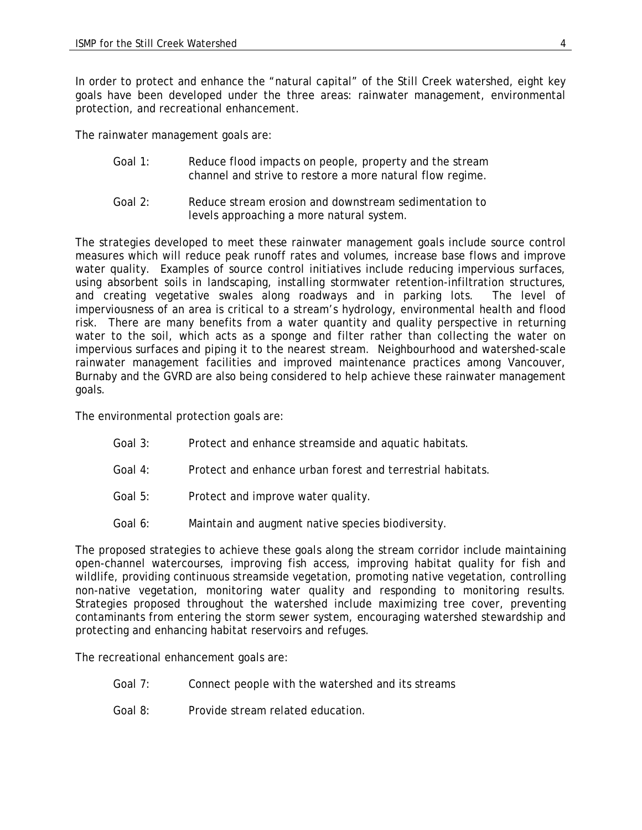In order to protect and enhance the "natural capital" of the Still Creek watershed, eight key goals have been developed under the three areas: rainwater management, environmental protection, and recreational enhancement.

The rainwater management goals are:

- Goal 1: Reduce flood impacts on people, property and the stream channel and strive to restore a more natural flow regime.
- Goal 2: Reduce stream erosion and downstream sedimentation to levels approaching a more natural system.

The strategies developed to meet these rainwater management goals include source control measures which will reduce peak runoff rates and volumes, increase base flows and improve water quality. Examples of source control initiatives include reducing impervious surfaces, using absorbent soils in landscaping, installing stormwater retention-infiltration structures, and creating vegetative swales along roadways and in parking lots. The level of imperviousness of an area is critical to a stream's hydrology, environmental health and flood risk. There are many benefits from a water quantity and quality perspective in returning water to the soil, which acts as a sponge and filter rather than collecting the water on impervious surfaces and piping it to the nearest stream. Neighbourhood and watershed-scale rainwater management facilities and improved maintenance practices among Vancouver, Burnaby and the GVRD are also being considered to help achieve these rainwater management goals.

The environmental protection goals are:

- Goal 3: Protect and enhance streamside and aquatic habitats.
- Goal 4: Protect and enhance urban forest and terrestrial habitats.
- Goal 5: Protect and improve water quality.
- Goal 6: Maintain and augment native species biodiversity.

The proposed strategies to achieve these goals along the stream corridor include maintaining open-channel watercourses, improving fish access, improving habitat quality for fish and wildlife, providing continuous streamside vegetation, promoting native vegetation, controlling non-native vegetation, monitoring water quality and responding to monitoring results. Strategies proposed throughout the watershed include maximizing tree cover, preventing contaminants from entering the storm sewer system, encouraging watershed stewardship and protecting and enhancing habitat reservoirs and refuges.

The recreational enhancement goals are:

- Goal 7: Connect people with the watershed and its streams
- Goal 8: Provide stream related education.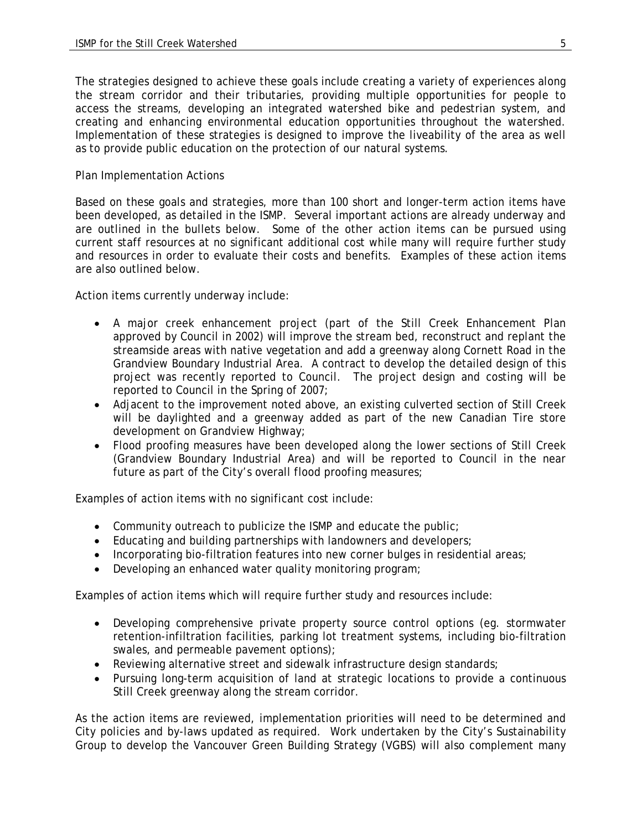The strategies designed to achieve these goals include creating a variety of experiences along the stream corridor and their tributaries, providing multiple opportunities for people to access the streams, developing an integrated watershed bike and pedestrian system, and creating and enhancing environmental education opportunities throughout the watershed. Implementation of these strategies is designed to improve the liveability of the area as well as to provide public education on the protection of our natural systems.

# Plan Implementation Actions

Based on these goals and strategies, more than 100 short and longer-term action items have been developed, as detailed in the ISMP. Several important actions are already underway and are outlined in the bullets below. Some of the other action items can be pursued using current staff resources at no significant additional cost while many will require further study and resources in order to evaluate their costs and benefits. Examples of these action items are also outlined below.

Action items currently underway include:

- A major creek enhancement project (part of the Still Creek Enhancement Plan approved by Council in 2002) will improve the stream bed, reconstruct and replant the streamside areas with native vegetation and add a greenway along Cornett Road in the Grandview Boundary Industrial Area. A contract to develop the detailed design of this project was recently reported to Council. The project design and costing will be reported to Council in the Spring of 2007;
- Adjacent to the improvement noted above, an existing culverted section of Still Creek will be daylighted and a greenway added as part of the new Canadian Tire store development on Grandview Highway;
- Flood proofing measures have been developed along the lower sections of Still Creek (Grandview Boundary Industrial Area) and will be reported to Council in the near future as part of the City's overall flood proofing measures;

Examples of action items with no significant cost include:

- Community outreach to publicize the ISMP and educate the public;
- Educating and building partnerships with landowners and developers;
- Incorporating bio-filtration features into new corner bulges in residential areas;
- Developing an enhanced water quality monitoring program;

Examples of action items which will require further study and resources include:

- Developing comprehensive private property source control options (eg. stormwater retention-infiltration facilities, parking lot treatment systems, including bio-filtration swales, and permeable pavement options);
- Reviewing alternative street and sidewalk infrastructure design standards;
- Pursuing long-term acquisition of land at strategic locations to provide a continuous Still Creek greenway along the stream corridor.

As the action items are reviewed, implementation priorities will need to be determined and City policies and by-laws updated as required. Work undertaken by the City's Sustainability Group to develop the Vancouver Green Building Strategy (VGBS) will also complement many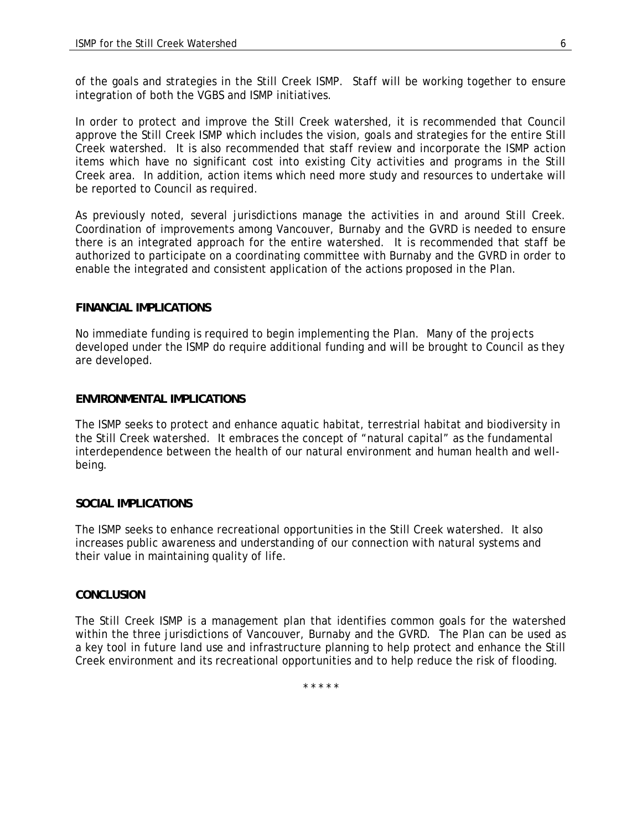of the goals and strategies in the Still Creek ISMP. Staff will be working together to ensure integration of both the VGBS and ISMP initiatives.

In order to protect and improve the Still Creek watershed, it is recommended that Council approve the Still Creek ISMP which includes the vision, goals and strategies for the entire Still Creek watershed. It is also recommended that staff review and incorporate the ISMP action items which have no significant cost into existing City activities and programs in the Still Creek area. In addition, action items which need more study and resources to undertake will be reported to Council as required.

As previously noted, several jurisdictions manage the activities in and around Still Creek. Coordination of improvements among Vancouver, Burnaby and the GVRD is needed to ensure there is an integrated approach for the entire watershed. It is recommended that staff be authorized to participate on a coordinating committee with Burnaby and the GVRD in order to enable the integrated and consistent application of the actions proposed in the Plan.

## **FINANCIAL IMPLICATIONS**

No immediate funding is required to begin implementing the Plan. Many of the projects developed under the ISMP do require additional funding and will be brought to Council as they are developed.

## **ENVIRONMENTAL IMPLICATIONS**

The ISMP seeks to protect and enhance aquatic habitat, terrestrial habitat and biodiversity in the Still Creek watershed. It embraces the concept of "natural capital" as the fundamental interdependence between the health of our natural environment and human health and wellbeing.

# **SOCIAL IMPLICATIONS**

The ISMP seeks to enhance recreational opportunities in the Still Creek watershed. It also increases public awareness and understanding of our connection with natural systems and their value in maintaining quality of life.

## **CONCLUSION**

The Still Creek ISMP is a management plan that identifies common goals for the watershed within the three jurisdictions of Vancouver, Burnaby and the GVRD. The Plan can be used as a key tool in future land use and infrastructure planning to help protect and enhance the Still Creek environment and its recreational opportunities and to help reduce the risk of flooding.

\* \* \* \* \*